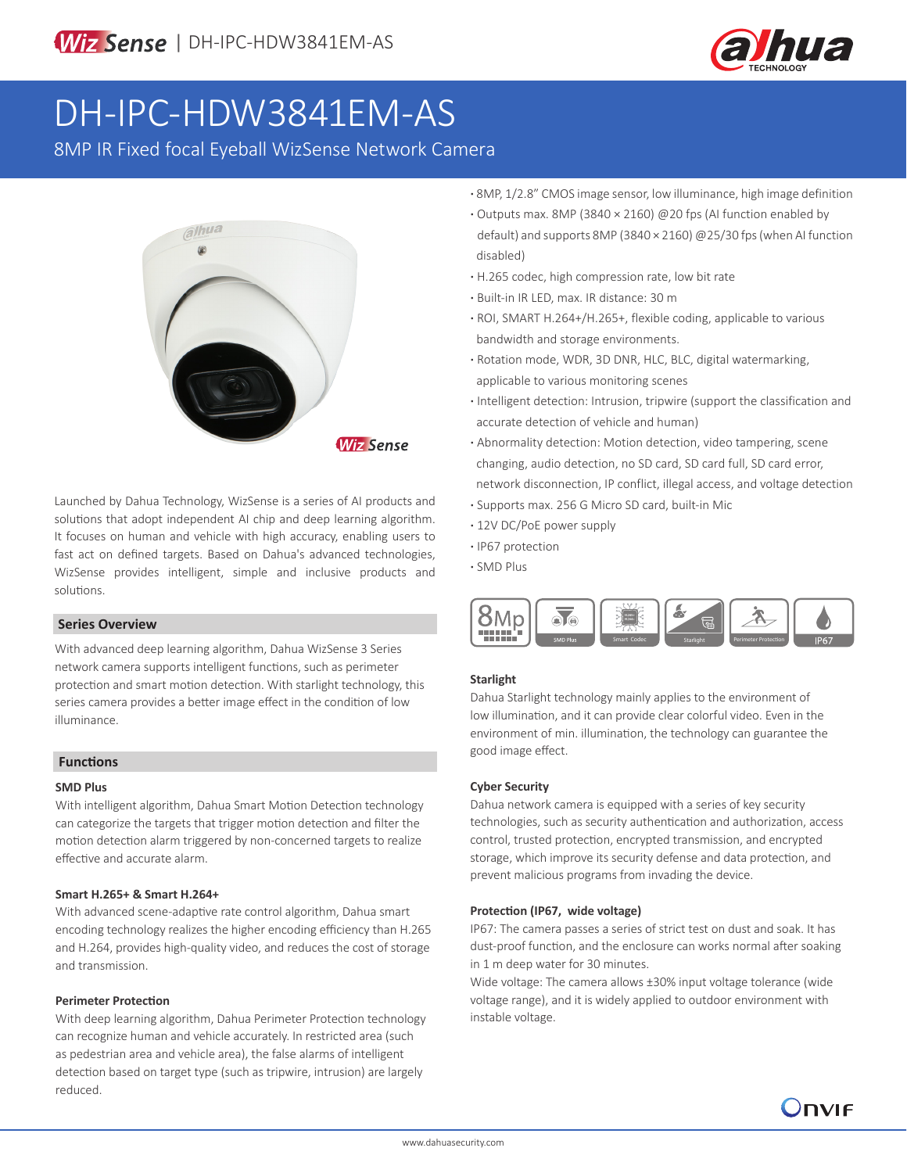

# DH-IPC-HDW3841EM-AS

8MP IR Fixed focal Eyeball WizSense Network Camera



Launched by Dahua Technology, WizSense is a series of AI products and solutions that adopt independent AI chip and deep learning algorithm. It focuses on human and vehicle with high accuracy, enabling users to fast act on defined targets. Based on Dahua's advanced technologies, WizSense provides intelligent, simple and inclusive products and solutions.

### **Series Overview**

With advanced deep learning algorithm, Dahua WizSense 3 Series network camera supports intelligent functions, such as perimeter protection and smart motion detection. With starlight technology, this series camera provides a better image effect in the condition of low illuminance.

### **Functions**

#### **SMD Plus**

With intelligent algorithm, Dahua Smart Motion Detection technology can categorize the targets that trigger motion detection and filter the motion detection alarm triggered by non-concerned targets to realize effective and accurate alarm.

### **Smart H.265+ & Smart H.264+**

With advanced scene-adaptive rate control algorithm, Dahua smart encoding technology realizes the higher encoding efficiency than H.265 and H.264, provides high-quality video, and reduces the cost of storage and transmission.

### **Perimeter Protection**

With deep learning algorithm, Dahua Perimeter Protection technology can recognize human and vehicle accurately. In restricted area (such as pedestrian area and vehicle area), the false alarms of intelligent detection based on target type (such as tripwire, intrusion) are largely reduced.

- **·** 8MP, 1/2.8" CMOS image sensor, low illuminance, high image definition
- **·** Outputs max. 8MP (3840 × 2160) @20 fps (AI function enabled by default) and supports 8MP (3840 × 2160) @25/30 fps (when AI function disabled)
- **·** H.265 codec, high compression rate, low bit rate
- **·** Built-in IR LED, max. IR distance: 30 m
- **·** ROI, SMART H.264+/H.265+, flexible coding, applicable to various bandwidth and storage environments.
- **·** Rotation mode, WDR, 3D DNR, HLC, BLC, digital watermarking, applicable to various monitoring scenes
- **·** Intelligent detection: Intrusion, tripwire (support the classification and accurate detection of vehicle and human)
- **·** Abnormality detection: Motion detection, video tampering, scene changing, audio detection, no SD card, SD card full, SD card error, network disconnection, IP conflict, illegal access, and voltage detection
- **·** Supports max. 256 G Micro SD card, built-in Mic
- **·** 12V DC/PoE power supply
- **·** IP67 protection
- **·** SMD Plus



### **Starlight**

Dahua Starlight technology mainly applies to the environment of low illumination, and it can provide clear colorful video. Even in the environment of min. illumination, the technology can guarantee the good image effect.

### **Cyber Security**

Dahua network camera is equipped with a series of key security technologies, such as security authentication and authorization, access control, trusted protection, encrypted transmission, and encrypted storage, which improve its security defense and data protection, and prevent malicious programs from invading the device.

### **Protection (IP67, wide voltage)**

IP67: The camera passes a series of strict test on dust and soak. It has dust-proof function, and the enclosure can works normal after soaking in 1 m deep water for 30 minutes.

Wide voltage: The camera allows ±30% input voltage tolerance (wide voltage range), and it is widely applied to outdoor environment with instable voltage.

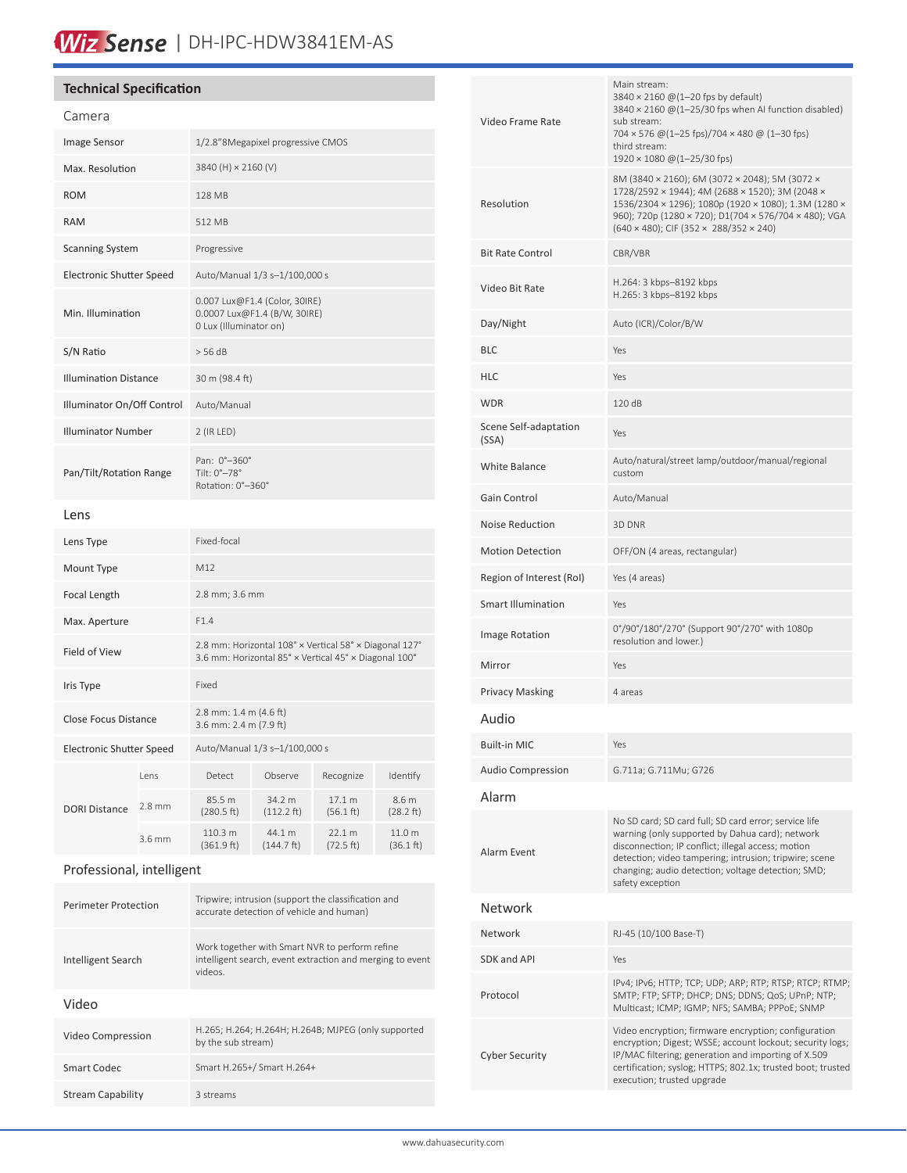# Wiz Sense | DH-IPC-HDW3841EM-AS

### **Technical Specification**

| Camera                          |          |                                                                                                                 |                                |                     |                     |
|---------------------------------|----------|-----------------------------------------------------------------------------------------------------------------|--------------------------------|---------------------|---------------------|
| <b>Image Sensor</b>             |          | 1/2.8"8Megapixel progressive CMOS                                                                               |                                |                     |                     |
| Max. Resolution                 |          | 3840 (H) × 2160 (V)                                                                                             |                                |                     |                     |
| <b>ROM</b>                      |          | 128 MB                                                                                                          |                                |                     |                     |
| <b>RAM</b>                      |          | 512 MB                                                                                                          |                                |                     |                     |
| <b>Scanning System</b>          |          | Progressive                                                                                                     |                                |                     |                     |
| <b>Electronic Shutter Speed</b> |          | Auto/Manual 1/3 s-1/100,000 s                                                                                   |                                |                     |                     |
| Min. Illumination               |          | 0.007 Lux@F1.4 (Color, 30IRE)<br>0.0007 Lux@F1.4 (B/W, 30IRE)<br>0 Lux (Illuminator on)                         |                                |                     |                     |
| S/N Ratio                       |          | > 56 dB                                                                                                         |                                |                     |                     |
| <b>Illumination Distance</b>    |          | 30 m (98.4 ft)                                                                                                  |                                |                     |                     |
| Illuminator On/Off Control      |          | Auto/Manual                                                                                                     |                                |                     |                     |
| <b>Illuminator Number</b>       |          | 2 (IR LED)                                                                                                      |                                |                     |                     |
| Pan/Tilt/Rotation Range         |          | Pan: 0°-360°<br>Tilt: 0°-78°<br>Rotation: 0°-360°                                                               |                                |                     |                     |
| Lens                            |          |                                                                                                                 |                                |                     |                     |
| Lens Type                       |          | Fixed-focal                                                                                                     |                                |                     |                     |
| Mount Type                      |          | M12                                                                                                             |                                |                     |                     |
| Focal Length                    |          | 2.8 mm; 3.6 mm                                                                                                  |                                |                     |                     |
| Max. Aperture                   |          | F1.4                                                                                                            |                                |                     |                     |
| Field of View                   |          | 2.8 mm: Horizontal 108° x Vertical 58° x Diagonal 127°<br>3.6 mm: Horizontal 85° x Vertical 45° x Diagonal 100° |                                |                     |                     |
| Iris Type                       |          | Fixed                                                                                                           |                                |                     |                     |
| <b>Close Focus Distance</b>     |          | 2.8 mm: 1.4 m (4.6 ft)<br>3.6 mm: 2.4 m (7.9 ft)                                                                |                                |                     |                     |
| Electronic Shutter Speed        |          | Auto/Manual 1/3 s-1/100,000 s                                                                                   |                                |                     |                     |
| <b>DORI Distance</b>            | Lens     | Detect                                                                                                          | Observe                        | Recognize           | Identify            |
|                                 | $2.8$ mm | 85.5 m<br>(280.5 ft)                                                                                            | 34.2 m<br>$(112.2 \text{ ft})$ | 17.1 m<br>(56.1 ft) | 8.6 m<br>(28.2 ft)  |
|                                 | 3.6 mm   | 110.3 m<br>(361.9 ft)                                                                                           | 44.1 m<br>(144.7 ft)           | 22.1 m<br>(72.5 ft) | 11.0 m<br>(36.1 ft) |
|                                 |          |                                                                                                                 |                                |                     |                     |

## Professional, intelligent

| <b>Perimeter Protection</b> | Tripwire; intrusion (support the classification and<br>accurate detection of vehicle and human)                        |
|-----------------------------|------------------------------------------------------------------------------------------------------------------------|
| Intelligent Search          | Work together with Smart NVR to perform refine<br>intelligent search, event extraction and merging to event<br>videos. |
| Video                       |                                                                                                                        |
| Video Compression           | H.265; H.264; H.264H; H.264B; MJPEG (only supported<br>by the sub stream)                                              |
| Smart Codec                 | Smart H.265+/ Smart H.264+                                                                                             |
| <b>Stream Capability</b>    | 3 streams                                                                                                              |

| Video Frame Rate               | Main stream:<br>3840 × 2160 @(1-20 fps by default)<br>$3840 \times 2160$ @(1-25/30 fps when AI function disabled)<br>sub stream:<br>704 × 576 @(1-25 fps)/704 × 480 @ (1-30 fps)<br>third stream:<br>$1920 \times 1080 \omega (1 - 25/30$ fps)                                                     |
|--------------------------------|----------------------------------------------------------------------------------------------------------------------------------------------------------------------------------------------------------------------------------------------------------------------------------------------------|
| Resolution                     | 8M (3840 × 2160); 6M (3072 × 2048); 5M (3072 ×<br>1728/2592 × 1944); 4M (2688 × 1520); 3M (2048 ×<br>1536/2304 × 1296); 1080p (1920 × 1080); 1.3M (1280 ×<br>960); 720p (1280 × 720); D1(704 × 576/704 × 480); VGA<br>(640 × 480); CIF (352 × 288/352 × 240)                                       |
| <b>Bit Rate Control</b>        | CBR/VBR                                                                                                                                                                                                                                                                                            |
| Video Bit Rate                 | H.264: 3 kbps-8192 kbps<br>H.265: 3 kbps-8192 kbps                                                                                                                                                                                                                                                 |
| Day/Night                      | Auto (ICR)/Color/B/W                                                                                                                                                                                                                                                                               |
| <b>BLC</b>                     | Yes                                                                                                                                                                                                                                                                                                |
| <b>HLC</b>                     | Yes                                                                                                                                                                                                                                                                                                |
| <b>WDR</b>                     | 120 dB                                                                                                                                                                                                                                                                                             |
| Scene Self-adaptation<br>(SSA) | Yes                                                                                                                                                                                                                                                                                                |
| White Balance                  | Auto/natural/street lamp/outdoor/manual/regional<br>custom                                                                                                                                                                                                                                         |
| Gain Control                   | Auto/Manual                                                                                                                                                                                                                                                                                        |
| Noise Reduction                | 3D DNR                                                                                                                                                                                                                                                                                             |
| <b>Motion Detection</b>        | OFF/ON (4 areas, rectangular)                                                                                                                                                                                                                                                                      |
| Region of Interest (RoI)       | Yes (4 areas)                                                                                                                                                                                                                                                                                      |
| <b>Smart Illumination</b>      | Yes                                                                                                                                                                                                                                                                                                |
| Image Rotation                 | 0°/90°/180°/270° (Support 90°/270° with 1080p<br>resolution and lower.)                                                                                                                                                                                                                            |
| Mirror                         | Yes                                                                                                                                                                                                                                                                                                |
| <b>Privacy Masking</b>         | 4 areas                                                                                                                                                                                                                                                                                            |
| Audio                          |                                                                                                                                                                                                                                                                                                    |
| Built-in MIC                   | Yes                                                                                                                                                                                                                                                                                                |
| <b>Audio Compression</b>       | G.711a; G.711Mu; G726                                                                                                                                                                                                                                                                              |
| Alarm                          |                                                                                                                                                                                                                                                                                                    |
| Alarm Event                    | No SD card; SD card full; SD card error; service life<br>warning (only supported by Dahua card); network<br>disconnection; IP conflict; illegal access; motion<br>detection; video tampering; intrusion; tripwire; scene<br>changing; audio detection; voltage detection; SMD;<br>safety exception |
| Network                        |                                                                                                                                                                                                                                                                                                    |
| Network                        | RJ-45 (10/100 Base-T)                                                                                                                                                                                                                                                                              |
| SDK and API                    | Yes                                                                                                                                                                                                                                                                                                |
| Protocol                       | IPv4; IPv6; HTTP; TCP; UDP; ARP; RTP; RTSP; RTCP; RTMP;<br>SMTP; FTP; SFTP; DHCP; DNS; DDNS; QoS; UPnP; NTP;<br>Multicast; ICMP; IGMP; NFS; SAMBA; PPPoE; SNMP                                                                                                                                     |
| Cyber Security                 | Video encryption; firmware encryption; configuration<br>encryption; Digest; WSSE; account lockout; security logs;<br>IP/MAC filtering; generation and importing of X.509<br>certification; syslog; HTTPS; 802.1x; trusted boot; trusted<br>execution; trusted upgrade                              |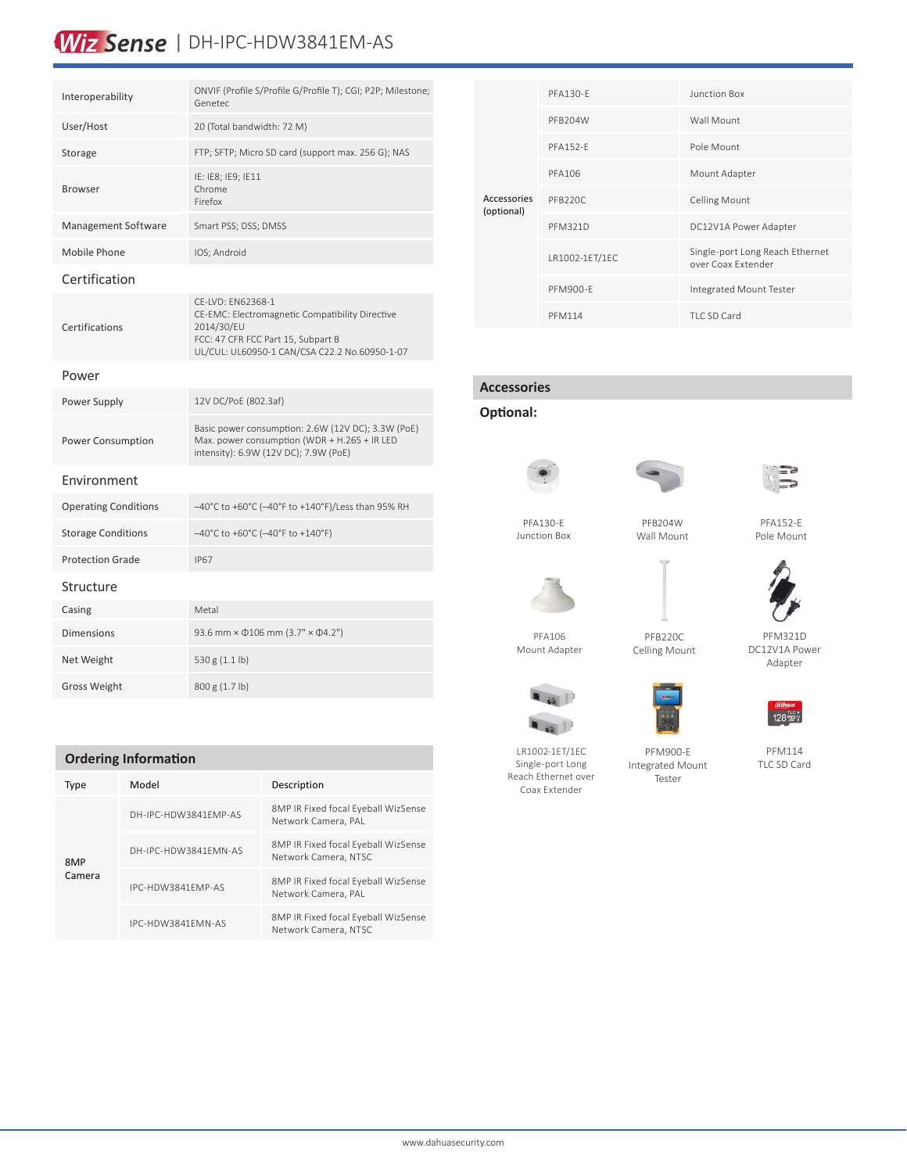# Wiz Sense | DH-IPC-HDW3841EM-AS

| Interoperability            | ONVIF (Profile S/Profile G/Profile T); CGI; P2P; Milestone;<br>Genetec                                                                                                    |
|-----------------------------|---------------------------------------------------------------------------------------------------------------------------------------------------------------------------|
| User/Host                   | 20 (Total bandwidth: 72 M)                                                                                                                                                |
| Storage                     | FTP; SFTP; Micro SD card (support max. 256 G); NAS                                                                                                                        |
| <b>Browser</b>              | IE: IE8; IE9; IE11<br>Chrome<br>Firefox                                                                                                                                   |
| Management Software         | Smart PSS; DSS; DMSS                                                                                                                                                      |
| Mobile Phone                | IOS; Android                                                                                                                                                              |
| Certification               |                                                                                                                                                                           |
| Certifications              | CE-LVD: EN62368-1<br>CE-EMC: Electromagnetic Compatibility Directive<br>2014/30/EU<br>FCC: 47 CFR FCC Part 15, Subpart B<br>UL/CUL: UL60950-1 CAN/CSA C22.2 No.60950-1-07 |
| Power                       |                                                                                                                                                                           |
| Power Supply                | 12V DC/PoE (802.3af)                                                                                                                                                      |
| Power Consumption           | Basic power consumption: 2.6W (12V DC); 3.3W (PoE)<br>Max. power consumption (WDR + H.265 + IR LED<br>intensity): 6.9W (12V DC); 7.9W (PoE)                               |
| Fnvironment                 |                                                                                                                                                                           |
| <b>Operating Conditions</b> | $-40^{\circ}$ C to +60°C (-40°F to +140°F)/Less than 95% RH                                                                                                               |
| <b>Storage Conditions</b>   | $-40^{\circ}$ C to +60 $^{\circ}$ C (-40 $^{\circ}$ F to +140 $^{\circ}$ F)                                                                                               |
| <b>Protection Grade</b>     | <b>IP67</b>                                                                                                                                                               |
| Structure                   |                                                                                                                                                                           |
| Casing                      | Metal                                                                                                                                                                     |
| <b>Dimensions</b>           | 93.6 mm × 0106 mm (3.7" × 04.2")                                                                                                                                          |
| Net Weight                  | 530 g (1.1 lb)                                                                                                                                                            |
| <b>Gross Weight</b>         | 800 g (1.7 lb)                                                                                                                                                            |

### **Ordering Information**

| Type          | Model                | Description                                                 |
|---------------|----------------------|-------------------------------------------------------------|
| 8MP<br>Camera | DH-IPC-HDW3841FMP-AS | 8MP IR Fixed focal Eyeball WizSense<br>Network Camera, PAL  |
|               | DH-IPC-HDW3841FMN-AS | 8MP IR Fixed focal Eyeball WizSense<br>Network Camera, NTSC |
|               | IPC-HDW3841FMP-AS    | 8MP IR Fixed focal Eyeball WizSense<br>Network Camera, PAL  |
|               | IPC-HDW3841FMN-AS    | 8MP IR Fixed focal Eyeball WizSense<br>Network Camera, NTSC |

| Accessories<br>(optional) | PFA130-F        | Junction Box                                          |  |
|---------------------------|-----------------|-------------------------------------------------------|--|
|                           | PFB204W         | Wall Mount                                            |  |
|                           | <b>PFA152-F</b> | Pole Mount                                            |  |
|                           | PFA106          | Mount Adapter                                         |  |
|                           | PFB220C         | <b>Celling Mount</b>                                  |  |
|                           | <b>PFM321D</b>  | DC12V1A Power Adapter                                 |  |
|                           | LR1002-1ET/1EC  | Single-port Long Reach Ethernet<br>over Coax Extender |  |
|                           | PFM900-F        | Integrated Mount Tester                               |  |
|                           | <b>PFM114</b>   | TLC SD Card                                           |  |

## **Accessories**

**Optional:**







PFA130-E Junction Box

PFB204W Wall Mount





PFA106 Mount Adapter

LR1002-1ET/1EC Single-port Long Reach Ethernet over Coax Extender

 $\blacksquare$  49

PFB220C Celling Mount

PFM900-E Integrated Mount Tester





PFM321D DC12V1A Power Adapter

PFM114 TLC SD Card